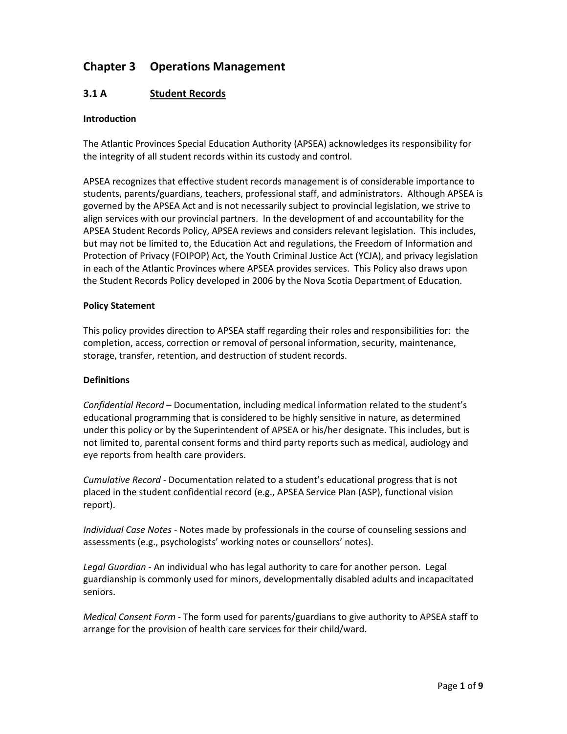# **Chapter 3 Operations Management**

# **3.1 A Student Records**

### **Introduction**

The Atlantic Provinces Special Education Authority (APSEA) acknowledges its responsibility for the integrity of all student records within its custody and control.

APSEA recognizes that effective student records management is of considerable importance to students, parents/guardians, teachers, professional staff, and administrators. Although APSEA is governed by the APSEA Act and is not necessarily subject to provincial legislation, we strive to align services with our provincial partners. In the development of and accountability for the APSEA Student Records Policy, APSEA reviews and considers relevant legislation. This includes, but may not be limited to, the Education Act and regulations, the Freedom of Information and Protection of Privacy (FOIPOP) Act, the Youth Criminal Justice Act (YCJA), and privacy legislation in each of the Atlantic Provinces where APSEA provides services. This Policy also draws upon the Student Records Policy developed in 2006 by the Nova Scotia Department of Education.

### **Policy Statement**

This policy provides direction to APSEA staff regarding their roles and responsibilities for: the completion, access, correction or removal of personal information, security, maintenance, storage, transfer, retention, and destruction of student records.

#### **Definitions**

*Confidential Record* – Documentation, including medical information related to the student's educational programming that is considered to be highly sensitive in nature, as determined under this policy or by the Superintendent of APSEA or his/her designate. This includes, but is not limited to, parental consent forms and third party reports such as medical, audiology and eye reports from health care providers.

*Cumulative Record* - Documentation related to a student's educational progress that is not placed in the student confidential record (e.g., APSEA Service Plan (ASP), functional vision report).

*Individual Case Notes* - Notes made by professionals in the course of counseling sessions and assessments (e.g., psychologists' working notes or counsellors' notes).

*Legal Guardian* - An individual who has legal authority to care for another person. Legal guardianship is commonly used for minors, developmentally disabled adults and incapacitated seniors.

*Medical Consent Form* - The form used for parents/guardians to give authority to APSEA staff to arrange for the provision of health care services for their child/ward.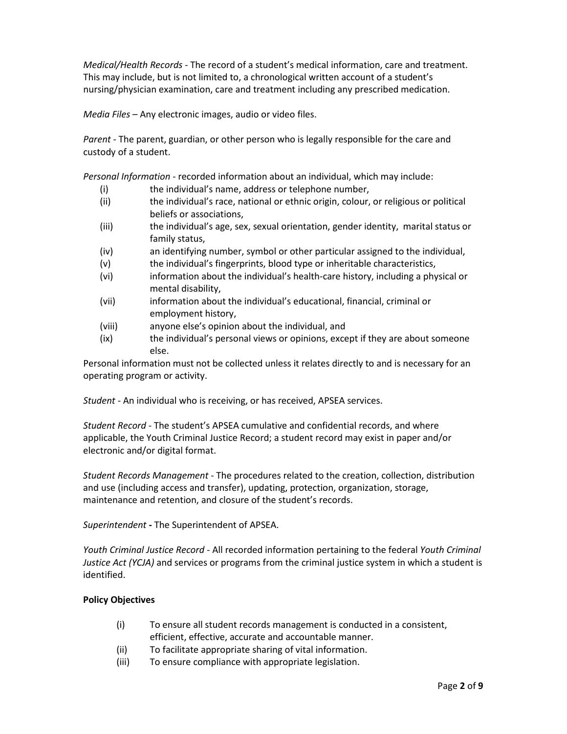*Medical/Health Records* - The record of a student's medical information, care and treatment. This may include, but is not limited to, a chronological written account of a student's nursing/physician examination, care and treatment including any prescribed medication.

*Media Files* – Any electronic images, audio or video files.

*Parent* - The parent, guardian, or other person who is legally responsible for the care and custody of a student.

*Personal Information* - recorded information about an individual, which may include:

- (i) the individual's name, address or telephone number,
- (ii) the individual's race, national or ethnic origin, colour, or religious or political beliefs or associations,
- (iii) the individual's age, sex, sexual orientation, gender identity, marital status or family status,
- (iv) an identifying number, symbol or other particular assigned to the individual,
- (v) the individual's fingerprints, blood type or inheritable characteristics,
- (vi) information about the individual's health-care history, including a physical or mental disability,
- (vii) information about the individual's educational, financial, criminal or employment history,
- (viii) anyone else's opinion about the individual, and
- (ix) the individual's personal views or opinions, except if they are about someone else.

Personal information must not be collected unless it relates directly to and is necessary for an operating program or activity.

*Student* - An individual who is receiving, or has received, APSEA services.

*Student Record* - The student's APSEA cumulative and confidential records, and where applicable, the Youth Criminal Justice Record; a student record may exist in paper and/or electronic and/or digital format.

*Student Records Management* - The procedures related to the creation, collection, distribution and use (including access and transfer), updating, protection, organization, storage, maintenance and retention, and closure of the student's records.

*Superintendent* **-** The Superintendent of APSEA.

*Youth Criminal Justice Record -* All recorded information pertaining to the federal *Youth Criminal Justice Act (YCJA)* and services or programs from the criminal justice system in which a student is identified.

# **Policy Objectives**

- (i) To ensure all student records management is conducted in a consistent, efficient, effective, accurate and accountable manner.
- (ii) To facilitate appropriate sharing of vital information.
- (iii) To ensure compliance with appropriate legislation.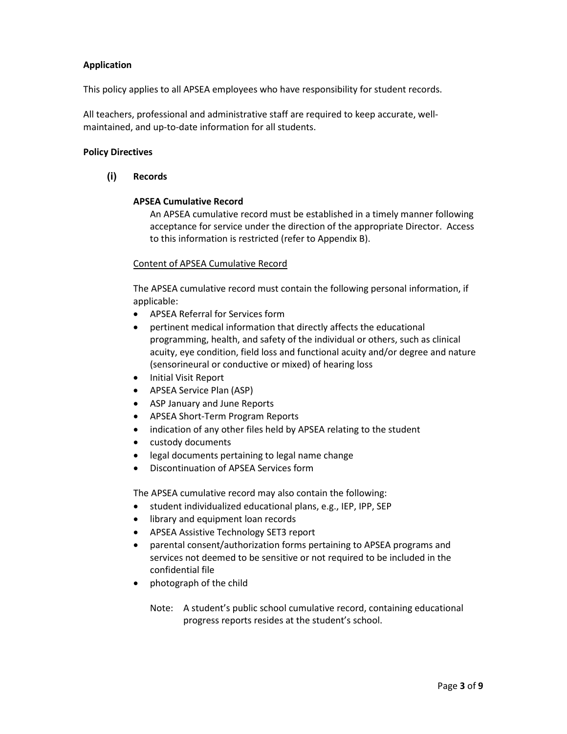# **Application**

This policy applies to all APSEA employees who have responsibility for student records.

All teachers, professional and administrative staff are required to keep accurate, wellmaintained, and up-to-date information for all students.

# **Policy Directives**

**(i) Records**

### **APSEA Cumulative Record**

An APSEA cumulative record must be established in a timely manner following acceptance for service under the direction of the appropriate Director. Access to this information is restricted (refer to Appendix B).

### Content of APSEA Cumulative Record

The APSEA cumulative record must contain the following personal information, if applicable:

- APSEA Referral for Services form
- pertinent medical information that directly affects the educational programming, health, and safety of the individual or others, such as clinical acuity, eye condition, field loss and functional acuity and/or degree and nature (sensorineural or conductive or mixed) of hearing loss
- Initial Visit Report
- APSEA Service Plan (ASP)
- ASP January and June Reports
- APSEA Short-Term Program Reports
- indication of any other files held by APSEA relating to the student
- custody documents
- legal documents pertaining to legal name change
- Discontinuation of APSEA Services form

The APSEA cumulative record may also contain the following:

- student individualized educational plans, e.g., IEP, IPP, SEP
- library and equipment loan records
- APSEA Assistive Technology SET3 report
- parental consent/authorization forms pertaining to APSEA programs and services not deemed to be sensitive or not required to be included in the confidential file
- photograph of the child
	- Note: A student's public school cumulative record, containing educational progress reports resides at the student's school.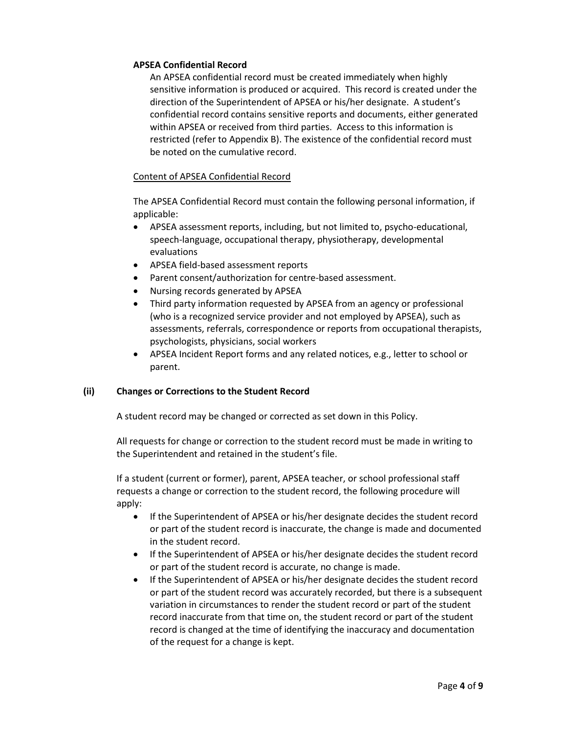# **APSEA Confidential Record**

An APSEA confidential record must be created immediately when highly sensitive information is produced or acquired. This record is created under the direction of the Superintendent of APSEA or his/her designate. A student's confidential record contains sensitive reports and documents, either generated within APSEA or received from third parties. Access to this information is restricted (refer to Appendix B). The existence of the confidential record must be noted on the cumulative record.

# Content of APSEA Confidential Record

The APSEA Confidential Record must contain the following personal information, if applicable:

- APSEA assessment reports, including, but not limited to, psycho-educational, speech-language, occupational therapy, physiotherapy, developmental evaluations
- APSEA field-based assessment reports
- Parent consent/authorization for centre-based assessment.
- Nursing records generated by APSEA
- Third party information requested by APSEA from an agency or professional (who is a recognized service provider and not employed by APSEA), such as assessments, referrals, correspondence or reports from occupational therapists, psychologists, physicians, social workers
- APSEA Incident Report forms and any related notices, e.g., letter to school or parent.

#### **(ii) Changes or Corrections to the Student Record**

A student record may be changed or corrected as set down in this Policy.

All requests for change or correction to the student record must be made in writing to the Superintendent and retained in the student's file.

If a student (current or former), parent, APSEA teacher, or school professional staff requests a change or correction to the student record, the following procedure will apply:

- If the Superintendent of APSEA or his/her designate decides the student record or part of the student record is inaccurate, the change is made and documented in the student record.
- If the Superintendent of APSEA or his/her designate decides the student record or part of the student record is accurate, no change is made.
- If the Superintendent of APSEA or his/her designate decides the student record or part of the student record was accurately recorded, but there is a subsequent variation in circumstances to render the student record or part of the student record inaccurate from that time on, the student record or part of the student record is changed at the time of identifying the inaccuracy and documentation of the request for a change is kept.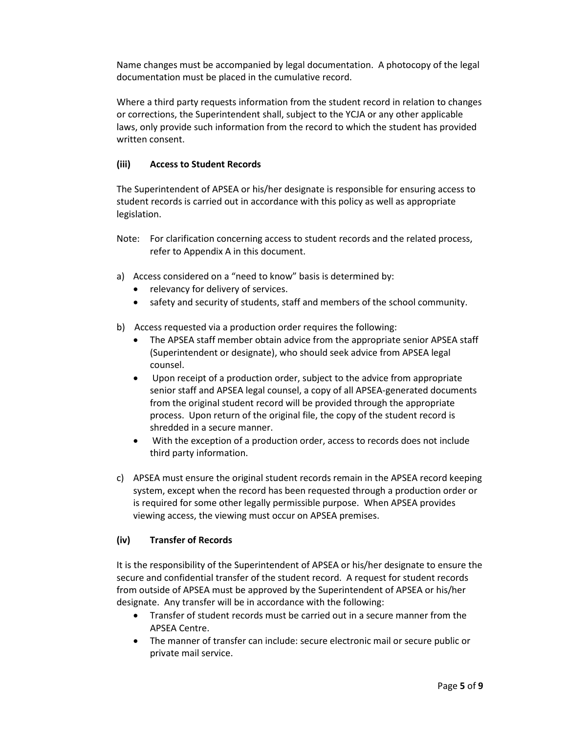Name changes must be accompanied by legal documentation. A photocopy of the legal documentation must be placed in the cumulative record.

Where a third party requests information from the student record in relation to changes or corrections, the Superintendent shall, subject to the YCJA or any other applicable laws, only provide such information from the record to which the student has provided written consent.

# **(iii) Access to Student Records**

The Superintendent of APSEA or his/her designate is responsible for ensuring access to student records is carried out in accordance with this policy as well as appropriate legislation.

- Note: For clarification concerning access to student records and the related process, refer to Appendix A in this document.
- a) Access considered on a "need to know" basis is determined by:
	- relevancy for delivery of services.
	- safety and security of students, staff and members of the school community.
- b) Access requested via a production order requires the following:
	- The APSEA staff member obtain advice from the appropriate senior APSEA staff (Superintendent or designate), who should seek advice from APSEA legal counsel.
	- Upon receipt of a production order, subject to the advice from appropriate senior staff and APSEA legal counsel, a copy of all APSEA-generated documents from the original student record will be provided through the appropriate process. Upon return of the original file, the copy of the student record is shredded in a secure manner.
	- With the exception of a production order, access to records does not include third party information.
- c) APSEA must ensure the original student records remain in the APSEA record keeping system, except when the record has been requested through a production order or is required for some other legally permissible purpose. When APSEA provides viewing access, the viewing must occur on APSEA premises.

# **(iv) Transfer of Records**

It is the responsibility of the Superintendent of APSEA or his/her designate to ensure the secure and confidential transfer of the student record. A request for student records from outside of APSEA must be approved by the Superintendent of APSEA or his/her designate. Any transfer will be in accordance with the following:

- Transfer of student records must be carried out in a secure manner from the APSEA Centre.
- The manner of transfer can include: secure electronic mail or secure public or private mail service.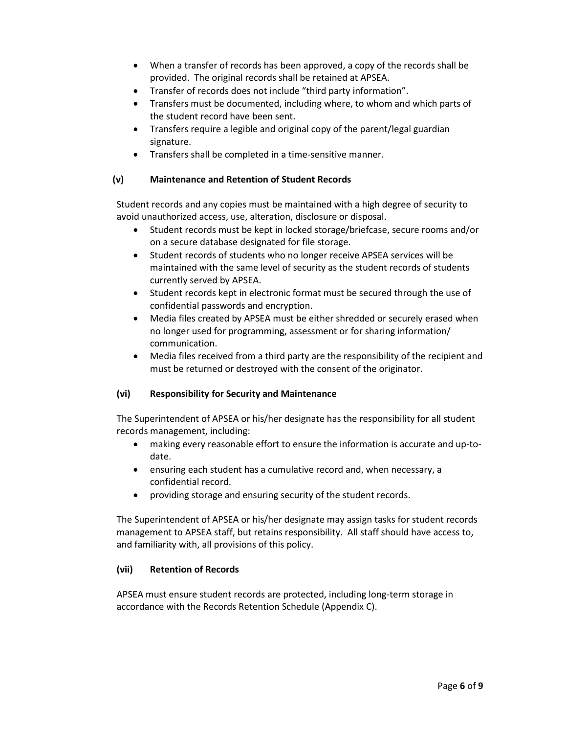- When a transfer of records has been approved, a copy of the records shall be provided. The original records shall be retained at APSEA.
- Transfer of records does not include "third party information".
- Transfers must be documented, including where, to whom and which parts of the student record have been sent.
- Transfers require a legible and original copy of the parent/legal guardian signature.
- Transfers shall be completed in a time-sensitive manner.

# **(v) Maintenance and Retention of Student Records**

Student records and any copies must be maintained with a high degree of security to avoid unauthorized access, use, alteration, disclosure or disposal.

- Student records must be kept in locked storage/briefcase, secure rooms and/or on a secure database designated for file storage.
- Student records of students who no longer receive APSEA services will be maintained with the same level of security as the student records of students currently served by APSEA.
- Student records kept in electronic format must be secured through the use of confidential passwords and encryption.
- Media files created by APSEA must be either shredded or securely erased when no longer used for programming, assessment or for sharing information/ communication.
- Media files received from a third party are the responsibility of the recipient and must be returned or destroyed with the consent of the originator.

# **(vi) Responsibility for Security and Maintenance**

The Superintendent of APSEA or his/her designate has the responsibility for all student records management, including:

- making every reasonable effort to ensure the information is accurate and up-todate.
- ensuring each student has a cumulative record and, when necessary, a confidential record.
- providing storage and ensuring security of the student records.

The Superintendent of APSEA or his/her designate may assign tasks for student records management to APSEA staff, but retains responsibility. All staff should have access to, and familiarity with, all provisions of this policy.

# **(vii) Retention of Records**

APSEA must ensure student records are protected, including long-term storage in accordance with the Records Retention Schedule (Appendix C).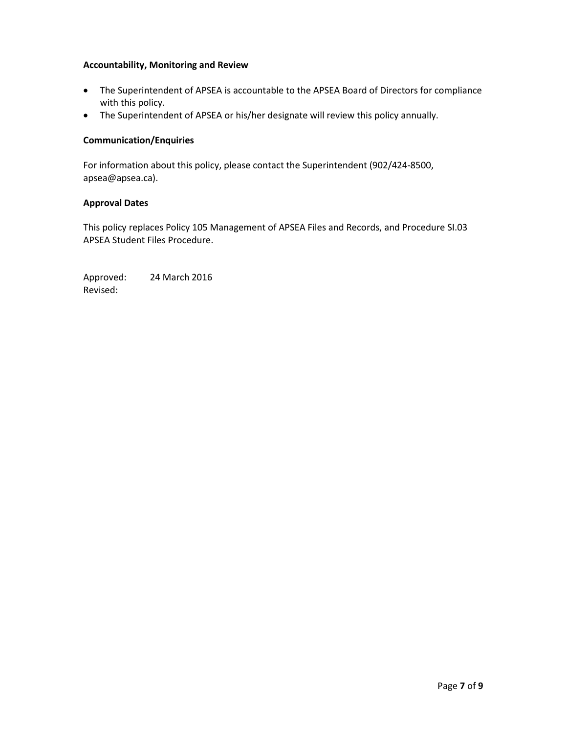### **Accountability, Monitoring and Review**

- The Superintendent of APSEA is accountable to the APSEA Board of Directors for compliance with this policy.
- The Superintendent of APSEA or his/her designate will review this policy annually.

### **Communication/Enquiries**

For information about this policy, please contact the Superintendent (902/424-8500, apsea@apsea.ca).

### **Approval Dates**

This policy replaces Policy 105 Management of APSEA Files and Records, and Procedure SI.03 APSEA Student Files Procedure.

Approved: 24 March 2016 Revised: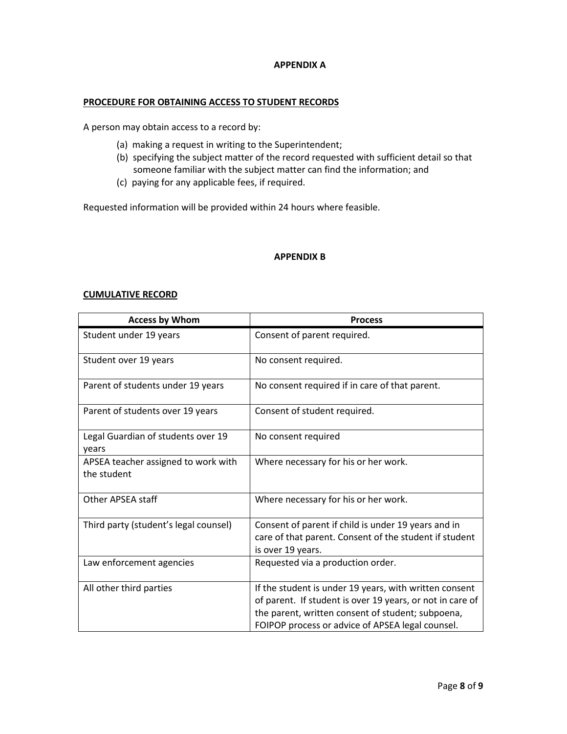### **APPENDIX A**

#### **PROCEDURE FOR OBTAINING ACCESS TO STUDENT RECORDS**

A person may obtain access to a record by:

- (a) making a request in writing to the Superintendent;
- (b) specifying the subject matter of the record requested with sufficient detail so that someone familiar with the subject matter can find the information; and
- (c) paying for any applicable fees, if required.

Requested information will be provided within 24 hours where feasible.

### **APPENDIX B**

# **CUMULATIVE RECORD**

| <b>Access by Whom</b>                              | <b>Process</b>                                                                                                                                                                                                               |
|----------------------------------------------------|------------------------------------------------------------------------------------------------------------------------------------------------------------------------------------------------------------------------------|
| Student under 19 years                             | Consent of parent required.                                                                                                                                                                                                  |
| Student over 19 years                              | No consent required.                                                                                                                                                                                                         |
| Parent of students under 19 years                  | No consent required if in care of that parent.                                                                                                                                                                               |
| Parent of students over 19 years                   | Consent of student required.                                                                                                                                                                                                 |
| Legal Guardian of students over 19<br>years        | No consent required                                                                                                                                                                                                          |
| APSEA teacher assigned to work with<br>the student | Where necessary for his or her work.                                                                                                                                                                                         |
| Other APSEA staff                                  | Where necessary for his or her work.                                                                                                                                                                                         |
| Third party (student's legal counsel)              | Consent of parent if child is under 19 years and in<br>care of that parent. Consent of the student if student<br>is over 19 years.                                                                                           |
| Law enforcement agencies                           | Requested via a production order.                                                                                                                                                                                            |
| All other third parties                            | If the student is under 19 years, with written consent<br>of parent. If student is over 19 years, or not in care of<br>the parent, written consent of student; subpoena,<br>FOIPOP process or advice of APSEA legal counsel. |